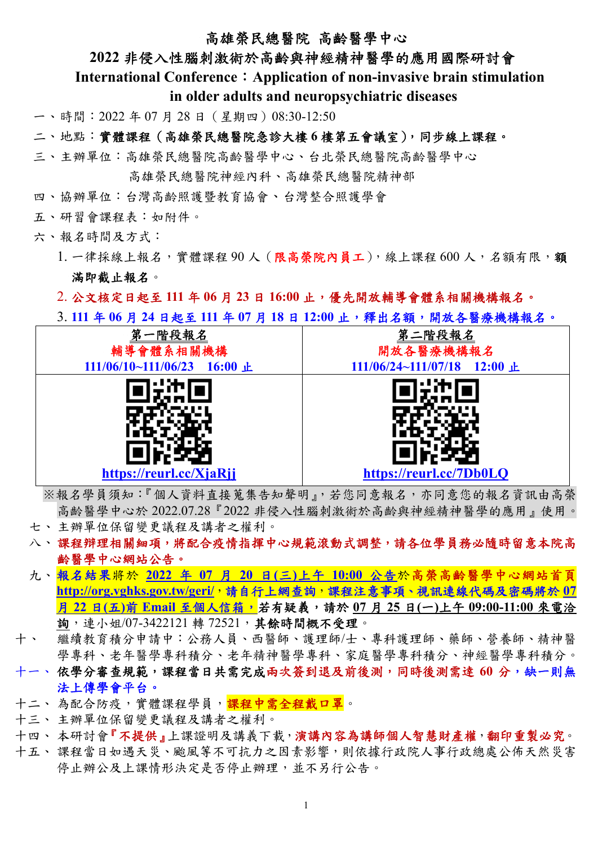#### 高雄榮民總醫院 高齡醫學中心

#### **2022** 非侵入性腦刺激術於高齡與神經精神醫學的應用國際研討會

**International Conference**:**Application of non-invasive brain stimulation** 

 **in older adults and neuropsychiatric diseases** 

一、時間:2022 年 07 月 28 日(星期四)08:30-12:50

二、地點:實體課程(高雄榮民總醫院急診大樓 **6** 樓第五會議室),同步線上課程。

三、主辦單位:高雄榮民總醫院高齡醫學中心、台北榮民總醫院高齡醫學中心

高雄榮民總醫院神經內科、高雄榮民總醫院精神部

四、協辦單位:台灣高齡照護暨教育協會、台灣整合照護學會

五、研習會課程表:如附件。

六、報名時間及方式:

1. 一律採線上報名,實體課程90人(限高榮院內員工),線上課程600人,名額有限,額 滿即截止報名。

2. 公文核定日起至 **111** 年 **06** 月 **23** 日 **16:00** 止,優先開放輔導會體系相關機構報名。

3. **111** 年 **06** 月 **24** 日起至 **111** 年 **07** 月 **18** 日 **12:00** 止,釋出名額,開放各醫療機構報名。



※報名學員須知:『個人資料直接蒐集告知聲明』,若您同意報名,亦同意您的報名資訊由高榮 高齡醫學中心於 2022.07.28『2022 非侵入性腦刺激術於高齡與神經精神醫學的應用』使用。

- 七、 主辦單位保留變更議程及講者之權利。
- 八、 課程辩理相關細項,將配合疫情指揮中心規範滾動式調整,請各位學員務必隨時留意本院高 齡醫學中心網站公告。
- 九、報名結果將於 **2022** 年 **07** 月 **20** 日**(**三**)**上午 **10:00** 公告於高榮高齡醫學中心網站首頁 **http://org.vghks.gov.tw/geri/**,請自行上網查詢,課程注意事項、視訊連線代碼及密碼將於 **07** 月 **22** 日**(**五**)**前 **Email** 至個人信箱,若有疑義,請於 **07** 月 **25** 日**(**一**)**上午 **09:00-11:00** 來電洽 詢,連小姐/07-3422121 轉 72521,其餘時間概不受理。
- 十、 繼續教育積分申請中:公務人員、西醫師、護理師/士、專科護理師、藥師、營養師、精神醫 學專科、老年醫學專科積淨學專科、家庭醫學專科積分、神經醫學專科積分。
- 十一、 依學分審查規範,課程當日共需完成兩次簽到退及前後測,同時後測需達 60 分,缺一則無 法上傳學會平台。
- 十二、 為配合防疫,實體課程學員,<mark>課程中需全程戴口罩</mark>。
- 十三、 主辦單位保留變更議程及講者之權利。
- 十四、本研討會『不提供』上課證明及講義下載,演講內容為講師個人智慧財產權,翻印重製必究。
- 十五、 課程當日如遇天災、颱風等不可抗力之因素影響,則依據行政院人事行政總處公佈天然災害 停止辦公及上課情形決定是否停止辦理,並不另行公告。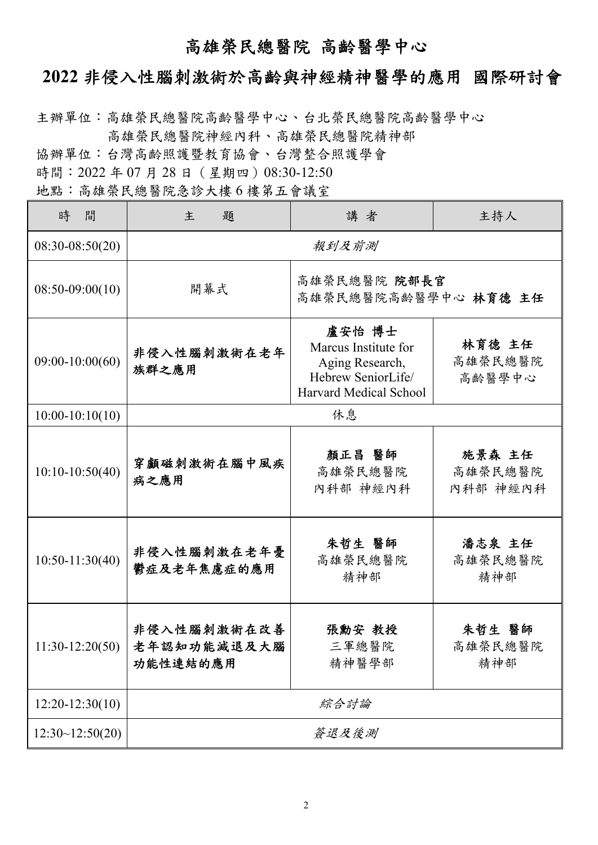# 高雄榮民總醫院 高齡醫學中心

### **2022** 非侵入性腦刺激術於高齡與神經精神醫學的應用 國際研討會

主辦單位:高雄榮民總醫院高齡醫學中心、台北榮民總醫院高齡醫學中心 高雄榮民總醫院神經內科、高雄榮民總醫院精神部

協辦單位:台灣高齡照護暨教育協會、台灣整合照護學會

時間: 2022年07月28日 (星期四) 08:30-12:50

地點:高雄榮民總醫院急診大樓 6 樓第五會議室

| 時<br>間            | 主<br>題                                      | 講者                                                                                                | 主持人                           |
|-------------------|---------------------------------------------|---------------------------------------------------------------------------------------------------|-------------------------------|
| $08:30-08:50(20)$ | 報到及前測                                       |                                                                                                   |                               |
| $08:50-09:00(10)$ | 高雄榮民總醫院 院部長官<br>開幕式<br>高雄榮民總醫院高齡醫學中心 林育德 主任 |                                                                                                   |                               |
| $09:00-10:00(60)$ | 非侵入性腦刺激術在老年<br>族群之應用                        | 盧安怡 博士<br>Marcus Institute for<br>Aging Research,<br>Hebrew SeniorLife/<br>Harvard Medical School | 林育德 主任<br>高雄榮民總醫院<br>高齡醫學中心   |
| $10:00-10:10(10)$ | 休息                                          |                                                                                                   |                               |
| $10:10-10:50(40)$ | 穿顱磁刺激術在腦中風疾<br>病之應用                         | 顏正昌 醫師<br>高雄榮民總醫院<br>內科部 神經內科                                                                     | 施景森 主任<br>高雄榮民總醫院<br>內科部 神經內科 |
| $10:50-11:30(40)$ | 非侵入性腦刺激在老年憂<br>鬱症及老年焦慮症的應用                  | 朱哲生 醫師<br>高雄榮民總醫院<br>精神部                                                                          | 潘志泉 主任<br>高雄榮民總醫院<br>精神部      |
| $11:30-12:20(50)$ | 非侵入性腦刺激術在改善<br>老年認知功能減退及大腦<br>功能性連結的應用      | 張勳安 教授<br>三軍總醫院<br>精神醫學部                                                                          | 朱哲生 醫師<br>高雄榮民總醫院<br>精神部      |
| $12:20-12:30(10)$ | 綜合討論                                        |                                                                                                   |                               |
| 12:30~12:50(20)   | 簽退及後測                                       |                                                                                                   |                               |